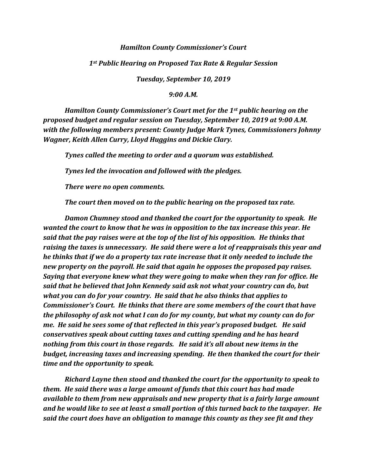## *Hamilton County Commissioner's Court*

## *1st Public Hearing on Proposed Tax Rate & Regular Session*

*Tuesday, September 10, 2019*

*9:00 A.M.*

*Hamilton County Commissioner's Court met for the 1st public hearing on the proposed budget and regular session on Tuesday, September 10, 2019 at 9:00 A.M. with the following members present: County Judge Mark Tynes, Commissioners Johnny Wagner, Keith Allen Curry, Lloyd Huggins and Dickie Clary.* 

*Tynes called the meeting to order and a quorum was established.*

*Tynes led the invocation and followed with the pledges.* 

*There were no open comments.*

*The court then moved on to the public hearing on the proposed tax rate.*

*Damon Chumney stood and thanked the court for the opportunity to speak. He wanted the court to know that he was in opposition to the tax increase this year. He said that the pay raises were at the top of the list of his opposition. He thinks that raising the taxes is unnecessary. He said there were a lot of reappraisals this year and he thinks that if we do a property tax rate increase that it only needed to include the new property on the payroll. He said that again he opposes the proposed pay raises. Saying that everyone knew what they were going to make when they ran for office. He said that he believed that John Kennedy said ask not what your country can do, but what you can do for your country. He said that he also thinks that applies to Commissioner's Court. He thinks that there are some members of the court that have the philosophy of ask not what I can do for my county, but what my county can do for me. He said he sees some of that reflected in this year's proposed budget. He said conservatives speak about cutting taxes and cutting spending and he has heard nothing from this court in those regards. He said it's all about new items in the budget, increasing taxes and increasing spending. He then thanked the court for their time and the opportunity to speak.*

*Richard Layne then stood and thanked the court for the opportunity to speak to them. He said there was a large amount of funds that this court has had made available to them from new appraisals and new property that is a fairly large amount and he would like to see at least a small portion of this turned back to the taxpayer. He said the court does have an obligation to manage this county as they see fit and they*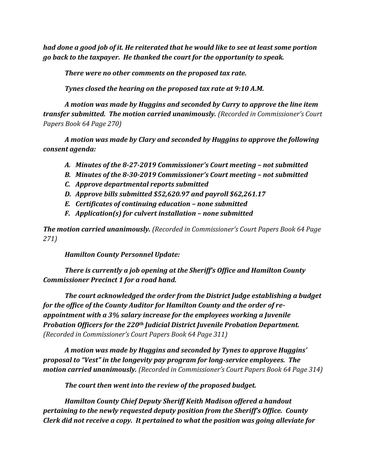*had done a good job of it. He reiterated that he would like to see at least some portion go back to the taxpayer. He thanked the court for the opportunity to speak.*

*There were no other comments on the proposed tax rate.*

*Tynes closed the hearing on the proposed tax rate at 9:10 A.M.*

*A motion was made by Huggins and seconded by Curry to approve the line item transfer submitted. The motion carried unanimously. (Recorded in Commissioner's Court Papers Book 64 Page 270)*

*A motion was made by Clary and seconded by Huggins to approve the following consent agenda:*

- *A. Minutes of the 8-27-2019 Commissioner's Court meeting – not submitted*
- *B. Minutes of the 8-30-2019 Commissioner's Court meeting – not submitted*
- *C. Approve departmental reports submitted*
- *D. Approve bills submitted \$52,620.97 and payroll \$62,261.17*
- *E. Certificates of continuing education – none submitted*
- *F. Application(s) for culvert installation – none submitted*

*The motion carried unanimously. (Recorded in Commissioner's Court Papers Book 64 Page 271)*

*Hamilton County Personnel Update:*

*There is currently a job opening at the Sheriff's Office and Hamilton County Commissioner Precinct 1 for a road hand.*

*The court acknowledged the order from the District Judge establishing a budget for the office of the County Auditor for Hamilton County and the order of reappointment with a 3% salary increase for the employees working a Juvenile Probation Officers for the 220th Judicial District Juvenile Probation Department. (Recorded in Commissioner's Court Papers Book 64 Page 311)*

*A motion was made by Huggins and seconded by Tynes to approve Huggins' proposal to "Vest" in the longevity pay program for long-service employees. The motion carried unanimously. (Recorded in Commissioner's Court Papers Book 64 Page 314)*

*The court then went into the review of the proposed budget.*

*Hamilton County Chief Deputy Sheriff Keith Madison offered a handout pertaining to the newly requested deputy position from the Sheriff's Office. County Clerk did not receive a copy. It pertained to what the position was going alleviate for*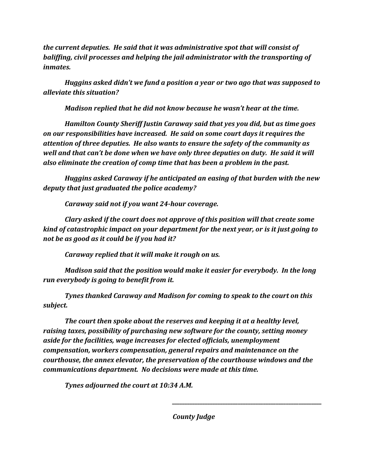*the current deputies. He said that it was administrative spot that will consist of baliffing, civil processes and helping the jail administrator with the transporting of inmates.*

*Huggins asked didn't we fund a position a year or two ago that was supposed to alleviate this situation?*

*Madison replied that he did not know because he wasn't hear at the time.*

*Hamilton County Sheriff Justin Caraway said that yes you did, but as time goes on our responsibilities have increased. He said on some court days it requires the attention of three deputies. He also wants to ensure the safety of the community as well and that can't be done when we have only three deputies on duty. He said it will also eliminate the creation of comp time that has been a problem in the past.*

*Huggins asked Caraway if he anticipated an easing of that burden with the new deputy that just graduated the police academy?*

*Caraway said not if you want 24-hour coverage.*

*Clary asked if the court does not approve of this position will that create some kind of catastrophic impact on your department for the next year, or is it just going to not be as good as it could be if you had it?*

*Caraway replied that it will make it rough on us.*

*Madison said that the position would make it easier for everybody. In the long run everybody is going to benefit from it.*

*Tynes thanked Caraway and Madison for coming to speak to the court on this subject.*

*The court then spoke about the reserves and keeping it at a healthy level, raising taxes, possibility of purchasing new software for the county, setting money aside for the facilities, wage increases for elected officials, unemployment compensation, workers compensation, general repairs and maintenance on the courthouse, the annex elevator, the preservation of the courthouse windows and the communications department. No decisions were made at this time.*

*Tynes adjourned the court at 10:34 A.M.*

*County Judge*

*\_\_\_\_\_\_\_\_\_\_\_\_\_\_\_\_\_\_\_\_\_\_\_\_\_\_\_\_\_\_\_\_\_\_\_\_\_\_\_\_\_\_\_\_\_\_\_\_\_\_\_\_\_\_\_\_\_\_\_*